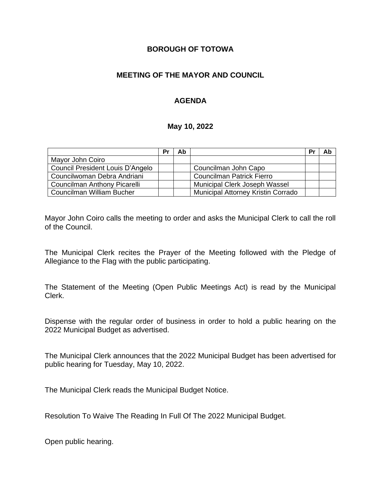### **BOROUGH OF TOTOWA**

### **MEETING OF THE MAYOR AND COUNCIL**

# **AGENDA**

#### **May 10, 2022**

|                                  | Pr | Ab |                                           | Pr | Ab |
|----------------------------------|----|----|-------------------------------------------|----|----|
| Mayor John Coiro                 |    |    |                                           |    |    |
| Council President Louis D'Angelo |    |    | Councilman John Capo                      |    |    |
| Councilwoman Debra Andriani      |    |    | <b>Councilman Patrick Fierro</b>          |    |    |
| Councilman Anthony Picarelli     |    |    | <b>Municipal Clerk Joseph Wassel</b>      |    |    |
| Councilman William Bucher        |    |    | <b>Municipal Attorney Kristin Corrado</b> |    |    |

Mayor John Coiro calls the meeting to order and asks the Municipal Clerk to call the roll of the Council.

The Municipal Clerk recites the Prayer of the Meeting followed with the Pledge of Allegiance to the Flag with the public participating.

The Statement of the Meeting (Open Public Meetings Act) is read by the Municipal Clerk.

Dispense with the regular order of business in order to hold a public hearing on the 2022 Municipal Budget as advertised.

The Municipal Clerk announces that the 2022 Municipal Budget has been advertised for public hearing for Tuesday, May 10, 2022.

The Municipal Clerk reads the Municipal Budget Notice.

Resolution To Waive The Reading In Full Of The 2022 Municipal Budget.

Open public hearing.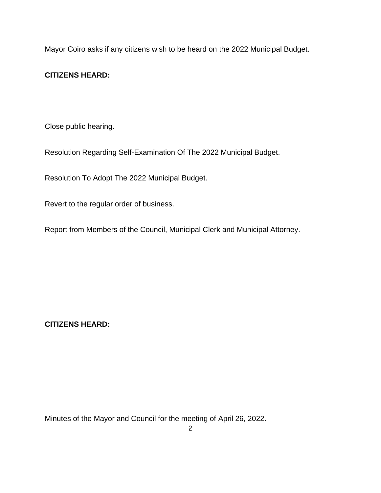Mayor Coiro asks if any citizens wish to be heard on the 2022 Municipal Budget.

# **CITIZENS HEARD:**

Close public hearing.

Resolution Regarding Self-Examination Of The 2022 Municipal Budget.

Resolution To Adopt The 2022 Municipal Budget.

Revert to the regular order of business.

Report from Members of the Council, Municipal Clerk and Municipal Attorney.

**CITIZENS HEARD:**

Minutes of the Mayor and Council for the meeting of April 26, 2022.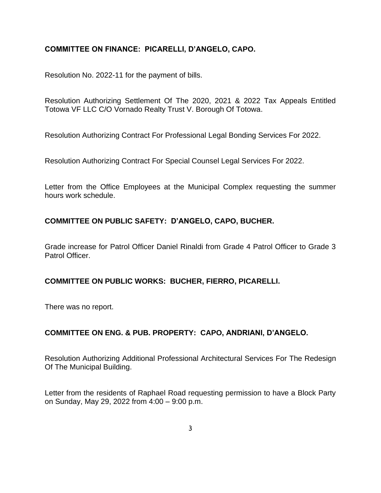### **COMMITTEE ON FINANCE: PICARELLI, D'ANGELO, CAPO.**

Resolution No. 2022-11 for the payment of bills.

Resolution Authorizing Settlement Of The 2020, 2021 & 2022 Tax Appeals Entitled Totowa VF LLC C/O Vornado Realty Trust V. Borough Of Totowa.

Resolution Authorizing Contract For Professional Legal Bonding Services For 2022.

Resolution Authorizing Contract For Special Counsel Legal Services For 2022.

Letter from the Office Employees at the Municipal Complex requesting the summer hours work schedule.

# **COMMITTEE ON PUBLIC SAFETY: D'ANGELO, CAPO, BUCHER.**

Grade increase for Patrol Officer Daniel Rinaldi from Grade 4 Patrol Officer to Grade 3 Patrol Officer.

#### **COMMITTEE ON PUBLIC WORKS: BUCHER, FIERRO, PICARELLI.**

There was no report.

#### **COMMITTEE ON ENG. & PUB. PROPERTY: CAPO, ANDRIANI, D'ANGELO.**

Resolution Authorizing Additional Professional Architectural Services For The Redesign Of The Municipal Building.

Letter from the residents of Raphael Road requesting permission to have a Block Party on Sunday, May 29, 2022 from 4:00 – 9:00 p.m.